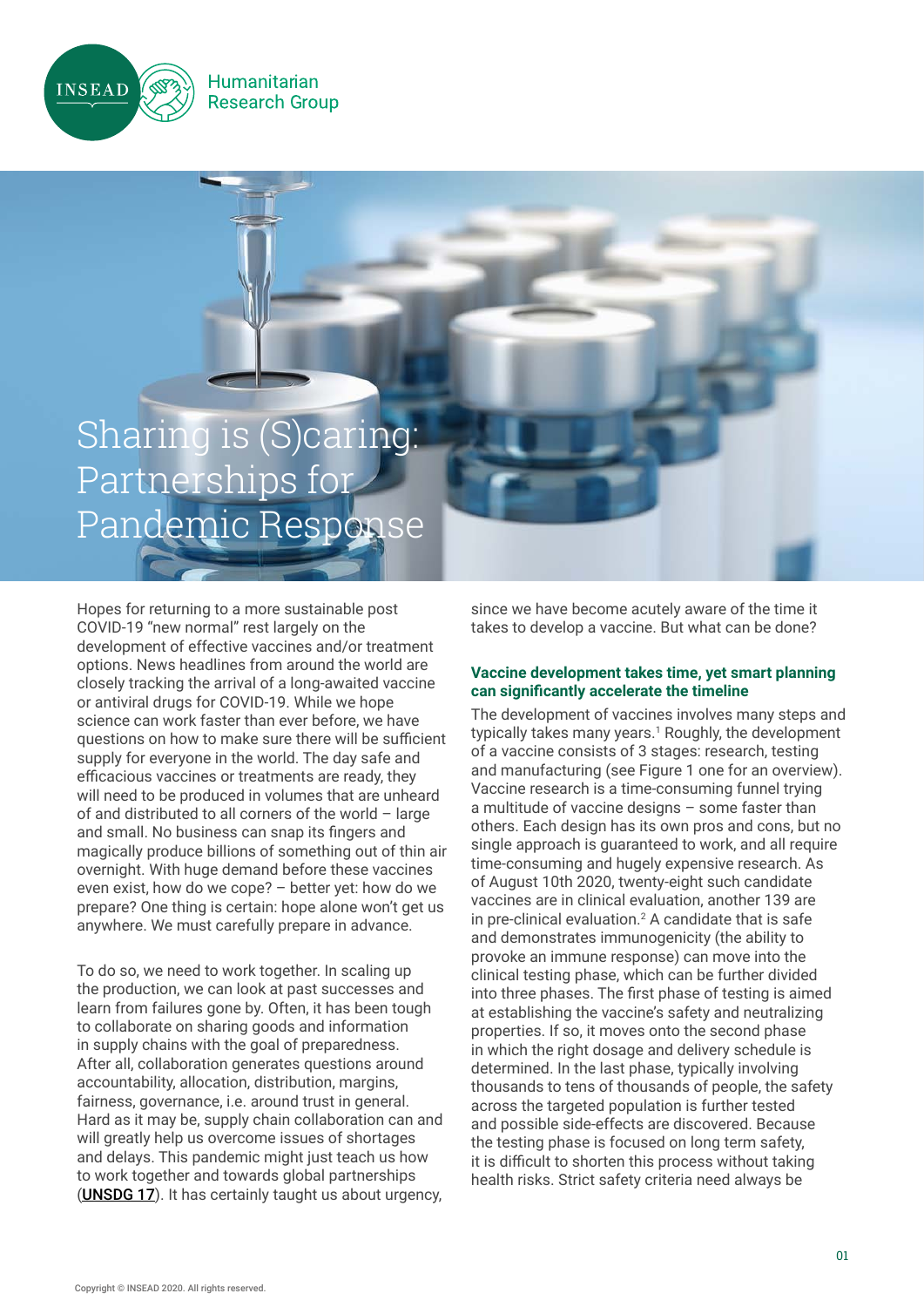



Humanitarian

**Research Group** 

Hopes for returning to a more sustainable post COVID-19 "new normal" rest largely on the development of effective vaccines and/or treatment options. News headlines from around the world are closely tracking the arrival of a long-awaited vaccine or antiviral drugs for COVID-19. While we hope science can work faster than ever before, we have questions on how to make sure there will be sufficient supply for everyone in the world. The day safe and efficacious vaccines or treatments are ready, they will need to be produced in volumes that are unheard of and distributed to all corners of the world – large and small. No business can snap its fingers and magically produce billions of something out of thin air overnight. With huge demand before these vaccines even exist, how do we cope? – better yet: how do we prepare? One thing is certain: hope alone won't get us anywhere. We must carefully prepare in advance.

To do so, we need to work together. In scaling up the production, we can look at past successes and learn from failures gone by. Often, it has been tough to collaborate on sharing goods and information in supply chains with the goal of preparedness. After all, collaboration generates questions around accountability, allocation, distribution, margins, fairness, governance, i.e. around trust in general. Hard as it may be, supply chain collaboration can and will greatly help us overcome issues of shortages and delays. This pandemic might just teach us how to work together and towards global partnerships (**[UNSDG 17](https://www.un.org/sustainabledevelopment/globalpartnerships/)**). It has certainly taught us about urgency,

since we have become acutely aware of the time it takes to develop a vaccine. But what can be done?

### **Vaccine development takes time, yet smart planning can significantly accelerate the timeline**

The development of vaccines involves many steps and typically takes many years.<sup>1</sup> Roughly, the development of a vaccine consists of 3 stages: research, testing and manufacturing (see Figure 1 one for an overview). Vaccine research is a time-consuming funnel trying a multitude of vaccine designs – some faster than others. Each design has its own pros and cons, but no single approach is guaranteed to work, and all require time-consuming and hugely expensive research. As of August 10th 2020, twenty-eight such candidate vaccines are in clinical evaluation, another 139 are in pre-clinical evaluation. $<sup>2</sup>$  A candidate that is safe</sup> and demonstrates immunogenicity (the ability to provoke an immune response) can move into the clinical testing phase, which can be further divided into three phases. The first phase of testing is aimed at establishing the vaccine's safety and neutralizing properties. If so, it moves onto the second phase in which the right dosage and delivery schedule is determined. In the last phase, typically involving thousands to tens of thousands of people, the safety across the targeted population is further tested and possible side-effects are discovered. Because the testing phase is focused on long term safety, it is difficult to shorten this process without taking health risks. Strict safety criteria need always be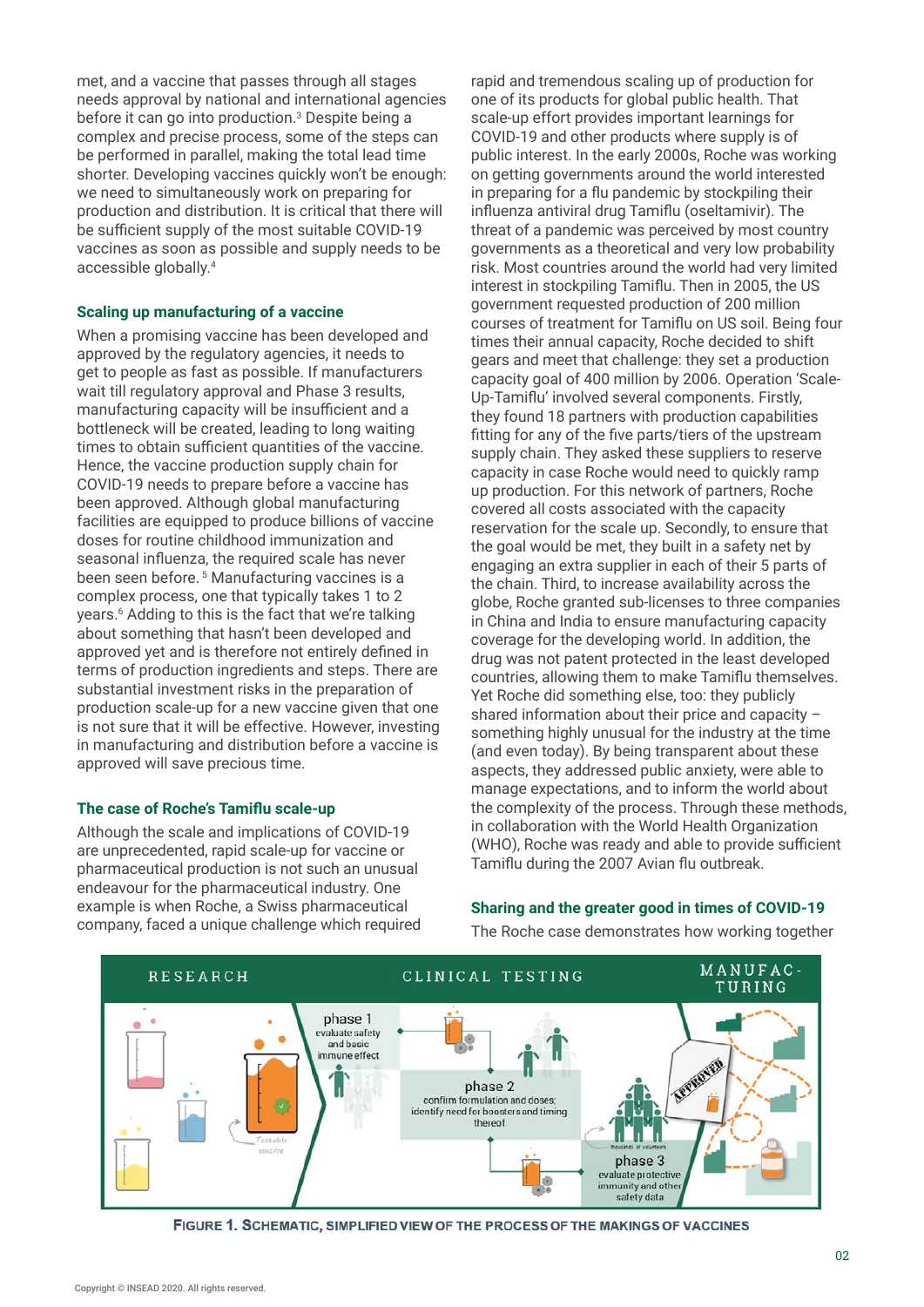met, and a vaccine that passes through all stages needs approval by national and international agencies before it can go into production.<sup>3</sup> Despite being a complex and precise process, some of the steps can be performed in parallel, making the total lead time shorter. Developing vaccines quickly won't be enough: we need to simultaneously work on preparing for production and distribution. It is critical that there will be sufficient supply of the most suitable COVID-19 vaccines as soon as possible and supply needs to be accessible globally.<sup>4</sup>

#### **Scaling up manufacturing of a vaccine**

When a promising vaccine has been developed and approved by the regulatory agencies, it needs to get to people as fast as possible. If manufacturers wait till regulatory approval and Phase 3 results, manufacturing capacity will be insufficient and a bottleneck will be created, leading to long waiting times to obtain sufficient quantities of the vaccine. Hence, the vaccine production supply chain for COVID-19 needs to prepare before a vaccine has been approved. Although global manufacturing facilities are equipped to produce billions of vaccine doses for routine childhood immunization and seasonal influenza, the required scale has never been seen before.<sup>5</sup> Manufacturing vaccines is a complex process, one that typically takes 1 to 2 years.6 Adding to this is the fact that we're talking about something that hasn't been developed and approved yet and is therefore not entirely defined in terms of production ingredients and steps. There are substantial investment risks in the preparation of production scale-up for a new vaccine given that one is not sure that it will be effective. However, investing in manufacturing and distribution before a vaccine is approved will save precious time.

# **The case of Roche's Tamiflu scale-up**

Although the scale and implications of COVID-19 are unprecedented, rapid scale-up for vaccine or pharmaceutical production is not such an unusual endeavour for the pharmaceutical industry. One example is when Roche, a Swiss pharmaceutical company, faced a unique challenge which required rapid and tremendous scaling up of production for one of its products for global public health. That scale-up effort provides important learnings for COVID-19 and other products where supply is of public interest. In the early 2000s, Roche was working on getting governments around the world interested in preparing for a flu pandemic by stockpiling their influenza antiviral drug Tamiflu (oseltamivir). The threat of a pandemic was perceived by most country governments as a theoretical and very low probability risk. Most countries around the world had very limited interest in stockpiling Tamiflu. Then in 2005, the US government requested production of 200 million courses of treatment for Tamiflu on US soil. Being four times their annual capacity, Roche decided to shift gears and meet that challenge: they set a production capacity goal of 400 million by 2006. Operation 'Scale-Up-Tamiflu' involved several components. Firstly, they found 18 partners with production capabilities fitting for any of the five parts/tiers of the upstream supply chain. They asked these suppliers to reserve capacity in case Roche would need to quickly ramp up production. For this network of partners, Roche covered all costs associated with the capacity reservation for the scale up. Secondly, to ensure that the goal would be met, they built in a safety net by engaging an extra supplier in each of their 5 parts of the chain. Third, to increase availability across the globe, Roche granted sub-licenses to three companies in China and India to ensure manufacturing capacity coverage for the developing world. In addition, the drug was not patent protected in the least developed countries, allowing them to make Tamiflu themselves. Yet Roche did something else, too: they publicly shared information about their price and capacity – something highly unusual for the industry at the time (and even today). By being transparent about these aspects, they addressed public anxiety, were able to manage expectations, and to inform the world about the complexity of the process. Through these methods, in collaboration with the World Health Organization (WHO), Roche was ready and able to provide sufficient Tamiflu during the 2007 Avian flu outbreak.

# **Sharing and the greater good in times of COVID-19**

The Roche case demonstrates how working together



FIGURE 1. SCHEMATIC, SIMPLIFIED VIEW OF THE PROCESS OF THE MAKINGS OF VACCINES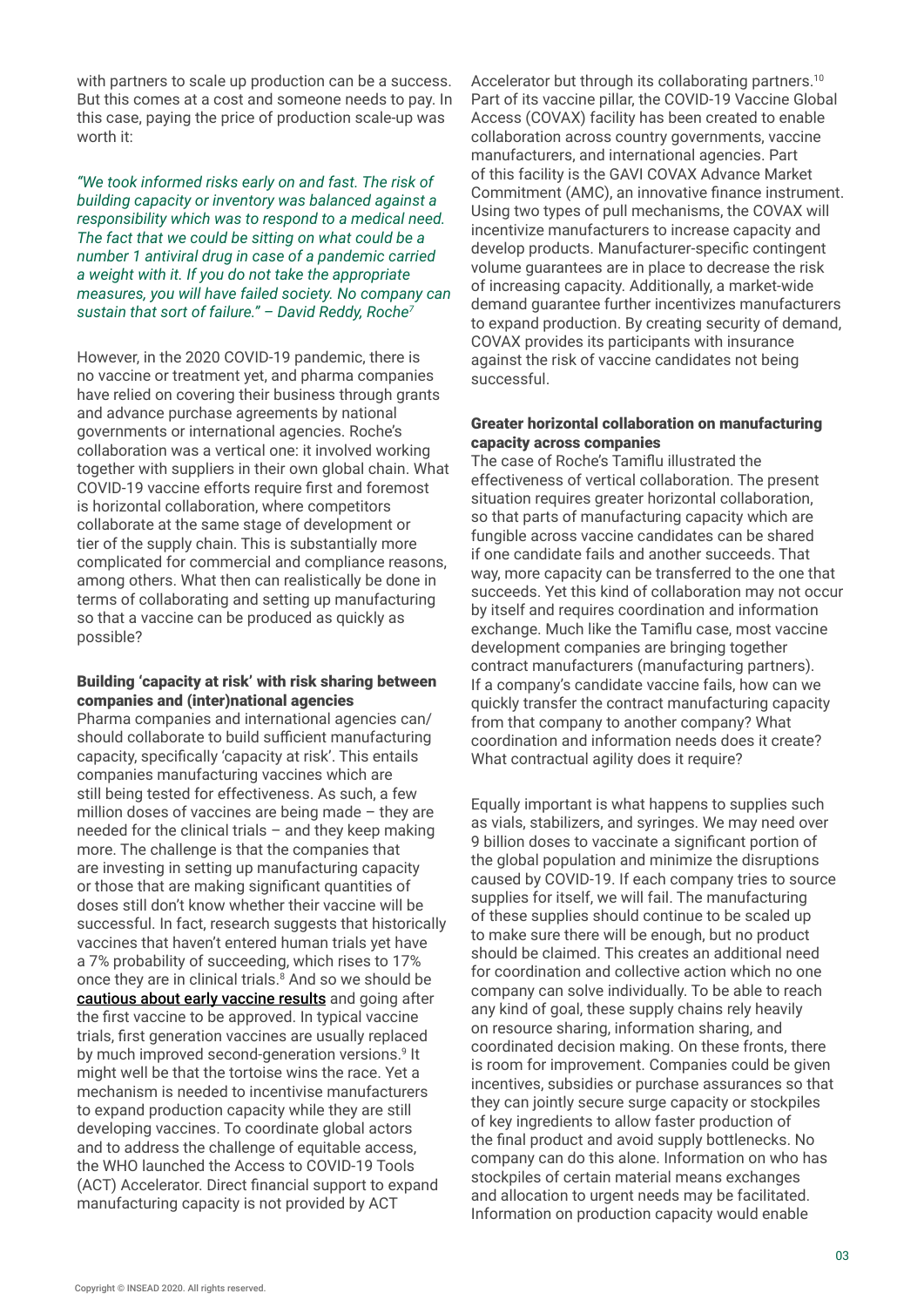with partners to scale up production can be a success. But this comes at a cost and someone needs to pay. In this case, paying the price of production scale-up was worth it:

*"We took informed risks early on and fast. The risk of building capacity or inventory was balanced against a responsibility which was to respond to a medical need. The fact that we could be sitting on what could be a number 1 antiviral drug in case of a pandemic carried a weight with it. If you do not take the appropriate measures, you will have failed society. No company can sustain that sort of failure." – David Reddy, Roche7*

However, in the 2020 COVID-19 pandemic, there is no vaccine or treatment yet, and pharma companies have relied on covering their business through grants and advance purchase agreements by national governments or international agencies. Roche's collaboration was a vertical one: it involved working together with suppliers in their own global chain. What COVID-19 vaccine efforts require first and foremost is horizontal collaboration, where competitors collaborate at the same stage of development or tier of the supply chain. This is substantially more complicated for commercial and compliance reasons, among others. What then can realistically be done in terms of collaborating and setting up manufacturing so that a vaccine can be produced as quickly as possible?

#### Building 'capacity at risk' with risk sharing between companies and (inter)national agencies

Pharma companies and international agencies can/ should collaborate to build sufficient manufacturing capacity, specifically 'capacity at risk'. This entails companies manufacturing vaccines which are still being tested for effectiveness. As such, a few million doses of vaccines are being made – they are needed for the clinical trials  $-$  and they keep making more. The challenge is that the companies that are investing in setting up manufacturing capacity or those that are making significant quantities of doses still don't know whether their vaccine will be successful. In fact, research suggests that historically vaccines that haven't entered human trials yet have a 7% probability of succeeding, which rises to 17% once they are in clinical trials.<sup>8</sup> And so we should be [cautious about early vaccine results](https://www.cgdev.org/blog/vaccine-preliminary-results-here-why-we-need-exercise-caution) and going after the first vaccine to be approved. In typical vaccine trials, first generation vaccines are usually replaced by much improved second-generation versions.<sup>9</sup> It might well be that the tortoise wins the race. Yet a mechanism is needed to incentivise manufacturers to expand production capacity while they are still developing vaccines. To coordinate global actors and to address the challenge of equitable access, the WHO launched the Access to COVID-19 Tools (ACT) Accelerator. Direct financial support to expand manufacturing capacity is not provided by ACT

Accelerator but through its collaborating partners.<sup>10</sup> Part of its vaccine pillar, the COVID-19 Vaccine Global Access (COVAX) facility has been created to enable collaboration across country governments, vaccine manufacturers, and international agencies. Part of this facility is the GAVI COVAX Advance Market Commitment (AMC), an innovative finance instrument. Using two types of pull mechanisms, the COVAX will incentivize manufacturers to increase capacity and develop products. Manufacturer-specific contingent volume guarantees are in place to decrease the risk of increasing capacity. Additionally, a market-wide demand guarantee further incentivizes manufacturers to expand production. By creating security of demand, COVAX provides its participants with insurance against the risk of vaccine candidates not being successful.

### Greater horizontal collaboration on manufacturing capacity across companies

The case of Roche's Tamiflu illustrated the effectiveness of vertical collaboration. The present situation requires greater horizontal collaboration, so that parts of manufacturing capacity which are fungible across vaccine candidates can be shared if one candidate fails and another succeeds. That way, more capacity can be transferred to the one that succeeds. Yet this kind of collaboration may not occur by itself and requires coordination and information exchange. Much like the Tamiflu case, most vaccine development companies are bringing together contract manufacturers (manufacturing partners). If a company's candidate vaccine fails, how can we quickly transfer the contract manufacturing capacity from that company to another company? What coordination and information needs does it create? What contractual agility does it require?

Equally important is what happens to supplies such as vials, stabilizers, and syringes. We may need over 9 billion doses to vaccinate a significant portion of the global population and minimize the disruptions caused by COVID-19. If each company tries to source supplies for itself, we will fail. The manufacturing of these supplies should continue to be scaled up to make sure there will be enough, but no product should be claimed. This creates an additional need for coordination and collective action which no one company can solve individually. To be able to reach any kind of goal, these supply chains rely heavily on resource sharing, information sharing, and coordinated decision making. On these fronts, there is room for improvement. Companies could be given incentives, subsidies or purchase assurances so that they can jointly secure surge capacity or stockpiles of key ingredients to allow faster production of the final product and avoid supply bottlenecks. No company can do this alone. Information on who has stockpiles of certain material means exchanges and allocation to urgent needs may be facilitated. Information on production capacity would enable